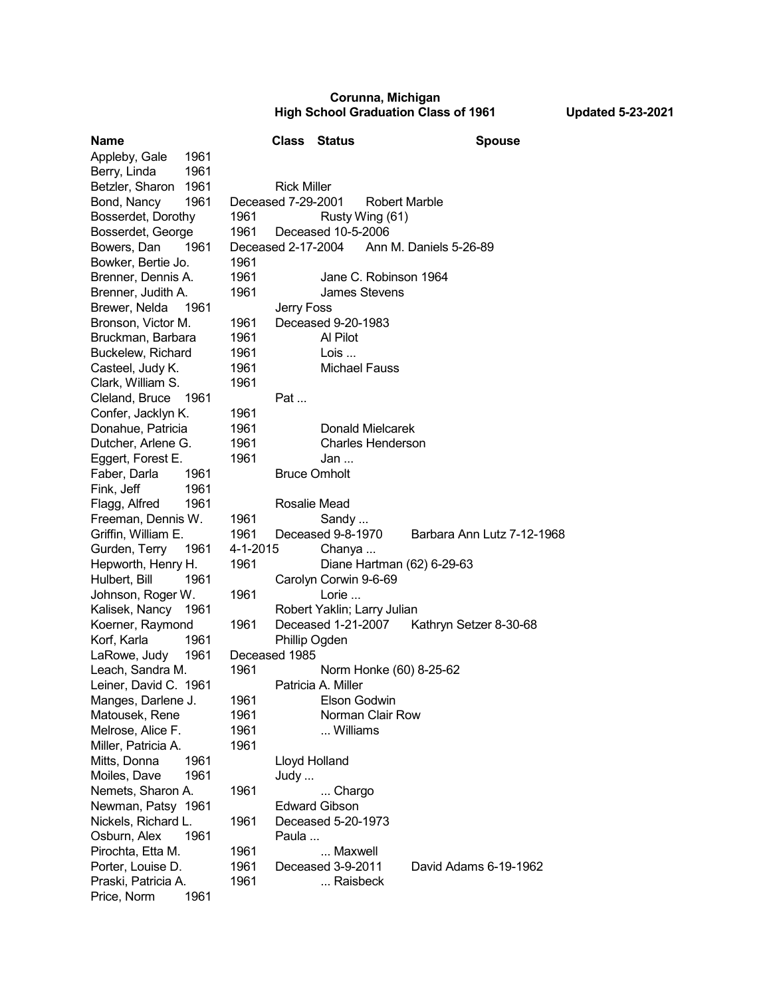## **Corunna, Michigan High School Graduation Class of 1961 Updated 5-23-2021**

| <b>Name</b>             |                                            | <b>Class</b>  | <b>Status</b>                             | <b>Spouse</b>              |
|-------------------------|--------------------------------------------|---------------|-------------------------------------------|----------------------------|
| Appleby, Gale<br>1961   |                                            |               |                                           |                            |
| Berry, Linda<br>1961    |                                            |               |                                           |                            |
| Betzler, Sharon<br>1961 | <b>Rick Miller</b>                         |               |                                           |                            |
| 1961<br>Bond, Nancy     | Deceased 7-29-2001<br><b>Robert Marble</b> |               |                                           |                            |
| Bosserdet, Dorothy      | 1961                                       |               | Rusty Wing (61)                           |                            |
| Bosserdet, George       | 1961                                       |               | Deceased 10-5-2006                        |                            |
| Bowers, Dan<br>1961     |                                            |               | Deceased 2-17-2004 Ann M. Daniels 5-26-89 |                            |
| Bowker, Bertie Jo.      | 1961                                       |               |                                           |                            |
| Brenner, Dennis A.      | 1961                                       |               | Jane C. Robinson 1964                     |                            |
| Brenner, Judith A.      | 1961                                       |               | James Stevens                             |                            |
| Brewer, Nelda<br>1961   |                                            | Jerry Foss    |                                           |                            |
| Bronson, Victor M.      | 1961                                       |               | Deceased 9-20-1983                        |                            |
| Bruckman, Barbara       | 1961                                       |               | Al Pilot                                  |                            |
| Buckelew, Richard       | 1961                                       |               | Lois                                      |                            |
| Casteel, Judy K.        | 1961                                       |               | <b>Michael Fauss</b>                      |                            |
| Clark, William S.       | 1961                                       |               |                                           |                            |
| Cleland, Bruce<br>1961  |                                            | Pat           |                                           |                            |
| Confer, Jacklyn K.      | 1961                                       |               |                                           |                            |
| Donahue, Patricia       | 1961                                       |               | <b>Donald Mielcarek</b>                   |                            |
| Dutcher, Arlene G.      | 1961                                       |               | <b>Charles Henderson</b>                  |                            |
| Eggert, Forest E.       | 1961                                       |               | Jan                                       |                            |
| Faber, Darla<br>1961    |                                            |               | <b>Bruce Omholt</b>                       |                            |
| Fink, Jeff<br>1961      |                                            |               |                                           |                            |
| Flagg, Alfred<br>1961   |                                            | Rosalie Mead  |                                           |                            |
| Freeman, Dennis W.      | 1961                                       |               | Sandy                                     |                            |
| Griffin, William E.     | 1961                                       |               | Deceased 9-8-1970                         | Barbara Ann Lutz 7-12-1968 |
| Gurden, Terry<br>1961   | 4-1-2015                                   |               | Chanya                                    |                            |
| Hepworth, Henry H.      | 1961                                       |               | Diane Hartman (62) 6-29-63                |                            |
| Hulbert, Bill<br>1961   |                                            |               | Carolyn Corwin 9-6-69                     |                            |
| Johnson, Roger W.       | 1961                                       |               | Lorie                                     |                            |
| Kalisek, Nancy 1961     |                                            |               | Robert Yaklin; Larry Julian               |                            |
| Koerner, Raymond        | 1961                                       |               | Deceased 1-21-2007                        | Kathryn Setzer 8-30-68     |
| Korf, Karla<br>1961     |                                            | Phillip Ogden |                                           |                            |
| LaRowe, Judy<br>1961    | Deceased 1985                              |               |                                           |                            |
| Leach, Sandra M.        | 1961                                       |               | Norm Honke (60) 8-25-62                   |                            |
| Leiner, David C. 1961   |                                            |               | Patricia A. Miller                        |                            |
| Manges, Darlene J.      | 1961                                       |               | Elson Godwin                              |                            |
| Matousek, Rene          | 1961                                       |               | Norman Clair Row                          |                            |
| Melrose, Alice F.       | 1961                                       |               | Williams                                  |                            |
| Miller, Patricia A.     | 1961                                       |               |                                           |                            |
| Mitts, Donna<br>1961    |                                            | Lloyd Holland |                                           |                            |
| Moiles, Dave<br>1961    |                                            | Judy          |                                           |                            |
| Nemets, Sharon A.       | 1961                                       |               | Chargo                                    |                            |
| Newman, Patsy 1961      |                                            |               | <b>Edward Gibson</b>                      |                            |
| Nickels, Richard L.     | 1961                                       |               | Deceased 5-20-1973                        |                            |
| Osburn, Alex<br>1961    |                                            | Paula         |                                           |                            |
| Pirochta, Etta M.       | 1961                                       |               | Maxwell                                   |                            |
| Porter, Louise D.       | 1961                                       |               | Deceased 3-9-2011                         | David Adams 6-19-1962      |
| Praski, Patricia A.     | 1961                                       |               | Raisbeck                                  |                            |
| Price, Norm<br>1961     |                                            |               |                                           |                            |